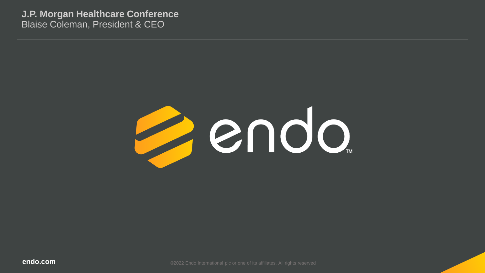**J.P. Morgan Healthcare Conference** Blaise Coleman, President & CEO



**endo.com Endo.com COM COM COM COM COM COM COM COM COM COM COM COM COM COM COM COM COM COM COM COM COM COM COM COM COM COM COM COM COM COM COM COM COM C**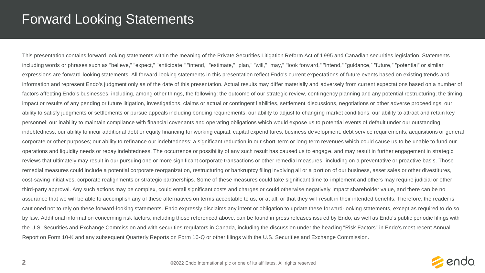### Forward Looking Statements

This presentation contains forward looking statements within the meaning of the Private Securities Litigation Reform Act of 1995 and Canadian securities legislation. Statements including words or phrases such as "believe," "expect," "anticipate," "intend," "estimate," "plan," "will," "may," "look forward," "intend," "guidance," "future," "potential" or similar expressions are forward-looking statements. All forward-looking statements in this presentation reflect Endo's current expectations of future events based on existing trends and information and represent Endo's judgment only as of the date of this presentation. Actual results may differ materially and adversely from current expectations based on a number of factors affecting Endo's businesses, including, among other things, the following: the outcome of our strategic review, contingency planning and any potential restructuring; the timing, impact or results of any pending or future litigation, investigations, claims or actual or contingent liabilities, settlement discussions, negotiations or other adverse proceedings; our ability to satisfy judgments or settlements or pursue appeals including bonding requirements; our ability to adjust to changing market conditions; our ability to attract and retain key personnel; our inability to maintain compliance with financial covenants and operating obligations which would expose us to potential events of default under our outstanding indebtedness; our ability to incur additional debt or equity financing for working capital, capital expenditures, business de velopment, debt service requirements, acquisitions or general corporate or other purposes; our ability to refinance our indebtedness; a significant reduction in our short-term or long-term revenues which could cause us to be unable to fund our operations and liquidity needs or repay indebtedness. The occurrence or possibility of any such result has caused us to engage, and may result in further engagement in strategic reviews that ultimately may result in our pursuing one or more significant corporate transactions or other remedial measures, including on a preventative or proactive basis. Those remedial measures could include a potential corporate reorganization, restructuring or bankruptcy filing involving all or a p ortion of our business, asset sales or other divestitures, cost-saving initiatives, corporate realignments or strategic partnerships. Some of these measures could take significant time to implement and others may require judicial or other third-party approval. Any such actions may be complex, could entail significant costs and charges or could otherwise negatively impact shareholder value, and there can be no assurance that we will be able to accomplish any of these alternatives on terms acceptable to us, or at all, or that they will result in their intended benefits. Therefore, the reader is cautioned not to rely on these forward-looking statements. Endo expressly disclaims any intent or obligation to update these forward-looking statements, except as required to do so by law. Additional information concerning risk factors, including those referenced above, can be found in press releases issued by Endo, as well as Endo's public periodic filings with the U.S. Securities and Exchange Commission and with securities regulators in Canada, including the discussion under the heading "Risk Factors" in Endo's most recent Annual Report on Form 10-K and any subsequent Quarterly Reports on Form 10-Q or other filings with the U.S. Securities and Exchange Commission.

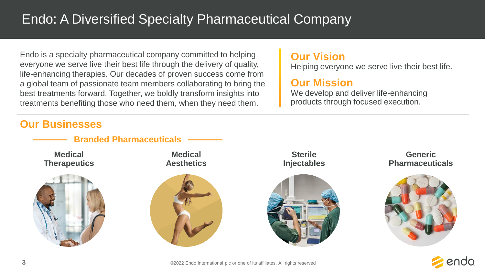## Endo: A Diversified Specialty Pharmaceutical Company

Endo is a specialty pharmaceutical company committed to helping everyone we serve live their best life through the delivery of quality, life-enhancing therapies. Our decades of proven success come from a global team of passionate team members collaborating to bring the best treatments forward. Together, we boldly transform insights into treatments benefiting those who need them, when they need them.

#### **Our Vision**

Helping everyone we serve live their best life.

#### **Our Mission**

We develop and deliver life-enhancing products through focused execution.

### **Our Businesses**



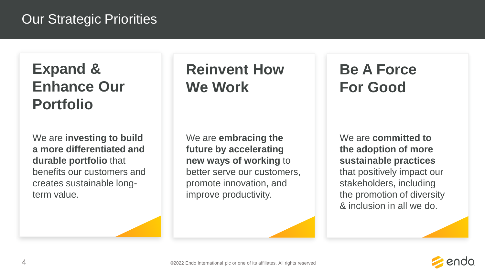## Our Strategic Priorities

# **Expand & Enhance Our Portfolio**

We are **investing to build a more differentiated and durable portfolio** that benefits our customers and creates sustainable longterm value.

# **Reinvent How We Work**

We are **embracing the future by accelerating new ways of working** to better serve our customers, promote innovation, and improve productivity.

# **Be A Force For Good**

We are **committed to the adoption of more sustainable practices**  that positively impact our stakeholders, including the promotion of diversity & inclusion in all we do.

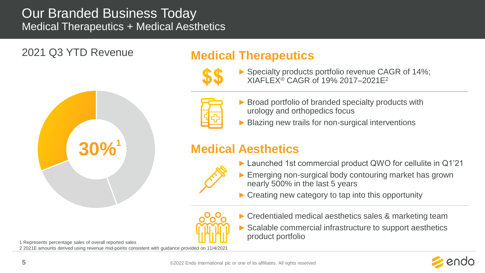### Our Branded Business Today Medical Therapeutics + Medical Aesthetics

2021 Q3 YTD Revenue



### **Medical Therapeutics**

- 
- ► Specialty products portfolio revenue CAGR of 14%; XIAFLEX® CAGR of 19% 2017–2021E<sup>2</sup>



- ► Broad portfolio of branded specialty products with urology and orthopedics focus
- Blazing new trails for non-surgical interventions

### **Medical Aesthetics**



- ► Launched 1st commercial product QWO for cellulite in Q1'21
- ► Emerging non-surgical body contouring market has grown nearly 500% in the last 5 years
- $\triangleright$  Creating new category to tap into this opportunity
- 
- ► Credentialed medical aesthetics sales & marketing team
- ► Scalable commercial infrastructure to support aesthetics product portfolio



1 Represents percentage sales of overall reported sales

2 2021E amounts derived using revenue mid-points consistent with guidance provided on 11/4/2021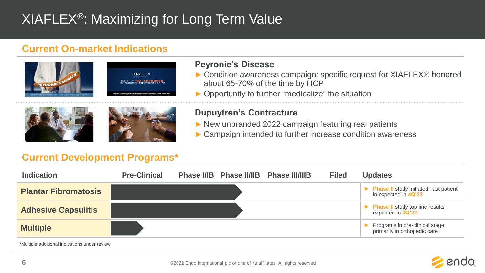## XIAFLEX®: Maximizing for Long Term Value

#### **Current On-market Indications**





#### **Peyronie's Disease**

- ► Condition awareness campaign: specific request for XIAFLEX® honored about 65-70% of the time by HCP
- ► Opportunity to further "medicalize" the situation





#### **Dupuytren's Contracture**

- ► New unbranded 2022 campaign featuring real patients
- ► Campaign intended to further increase condition awareness

#### **Current Development Programs\***

| <b>Indication</b>           | <b>Pre-Clinical</b> |  | Phase I/IB Phase II/IIB Phase III/IIIB | <b>Filed</b> | <b>Updates</b>                                                        |
|-----------------------------|---------------------|--|----------------------------------------|--------------|-----------------------------------------------------------------------|
| <b>Plantar Fibromatosis</b> |                     |  |                                        |              | ▶ Phase II study initiated; last patient<br>in expected in 4Q'22      |
| <b>Adhesive Capsulitis</b>  |                     |  |                                        |              | $\triangleright$ Phase II study top line results<br>expected in 3Q'22 |
| <b>Multiple</b>             |                     |  |                                        |              | Programs in pre-clinical stage<br>primarily in orthopedic care        |

\*Multiple additional indications under review

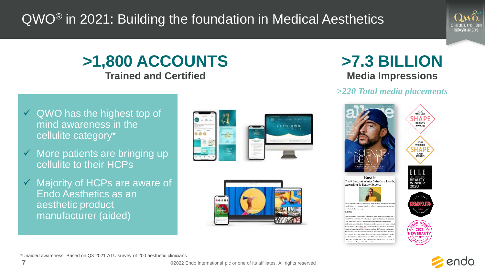# QWO® in 2021: Building the foundation in Medical Aesthetics



### **>1,800 ACCOUNTS Trained and Certified**

- $\checkmark$  QWO has the highest top of mind awareness in the cellulite category\*
- $\checkmark$  More patients are bringing up cellulite to their HCPs
- $\checkmark$  Majority of HCPs are aware of Endo Aesthetics as an aesthetic product manufacturer (aided)





### **>7.3 BILLION Media Impressions**

#### *>220 Total media placements*





\*Unaided awareness. Based on Q3 2021 ATU survey of 200 aesthetic clinicians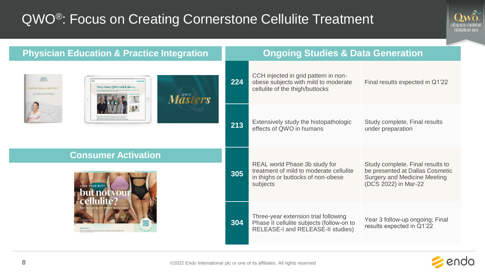## QWO<sup>®</sup>: Focus on Creating Cornerstone Cellulite Treatment



| <b>Physician Education &amp; Practice Integration</b>                                                                        |     | <b>Ongoing Studies &amp; Data Generation</b>                                                                               |                                                                                                                             |  |
|------------------------------------------------------------------------------------------------------------------------------|-----|----------------------------------------------------------------------------------------------------------------------------|-----------------------------------------------------------------------------------------------------------------------------|--|
| $Qm\tilde{u}$<br>They chose OWO and it shows<br><b>Practice Success with Ow</b><br>- REGISTATION ASSISTANT<br><b>Måsters</b> | 224 | CCH injected in grid pattern in non-<br>obese subjects with mild to moderate<br>cellulite of the thigh/buttocks            | Final results expected in Q1'22                                                                                             |  |
|                                                                                                                              | 213 | Extensively study the histopathologic<br>effects of QWO in humans                                                          | Study complete, Final results<br>under preparation                                                                          |  |
| <b>Consumer Activation</b><br>LOVE YOUR BUTT                                                                                 |     | REAL world Phase 3b study for<br>treatment of mild to moderate cellulite<br>in thighs or buttocks of non-obese<br>subjects | Study complete. Final results to<br>be presented at Dallas Cosmetic<br>Surgery and Medicine Meeting<br>(DCS 2022) in Mar-22 |  |
|                                                                                                                              |     | Three-year extension trial following<br>Phase II cellulite subjects (follow-on to<br>RELEASE-I and RELEASE-II studies)     | Year 3 follow-up ongoing; Final<br>results expected in Q1'22                                                                |  |

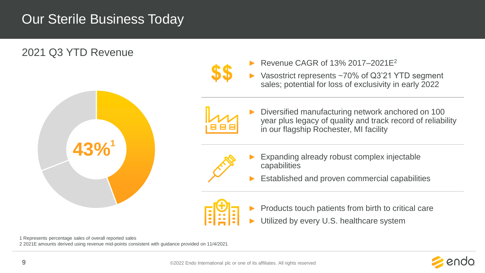## Our Sterile Business Today



1 Represents percentage sales of overall reported sales

2 2021E amounts derived using revenue mid-points consistent with guidance provided on 11/4/2021

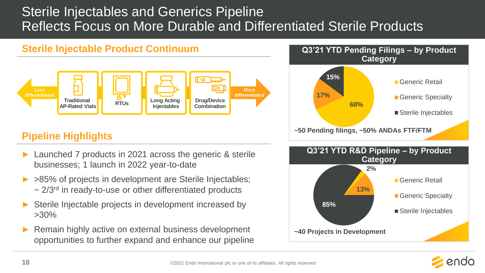## Sterile Injectables and Generics Pipeline Reflects Focus on More Durable and Differentiated Sterile Products

#### **Sterile Injectable Product Continuum**



### **Pipeline Highlights**

- ► Launched 7 products in 2021 across the generic & sterile businesses; 1 launch in 2022 year-to-date
- ► >85% of projects in development are Sterile Injectables;  $\sim$  2/3<sup>rd</sup> in ready-to-use or other differentiated products
- Sterile Injectable projects in development increased by >30%
- ► Remain highly active on external business development opportunities to further expand and enhance our pipeline





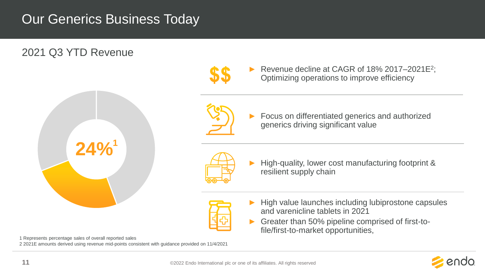## Our Generics Business Today

### 2021 Q3 YTD Revenue

1 Represents percentage sales of overall reported sales



2 2021E amounts derived using revenue mid-points consistent with guidance provided on 11/4/2021



► Revenue decline at CAGR of 18% 2017–2021E<sup>2</sup> ; Optimizing operations to improve efficiency

Focus on differentiated generics and authorized generics driving significant value



► High-quality, lower cost manufacturing footprint & resilient supply chain

- ► High value launches including lubiprostone capsules and varenicline tablets in 2021
- ► Greater than 50% pipeline comprised of first-tofile/first-to-market opportunities,

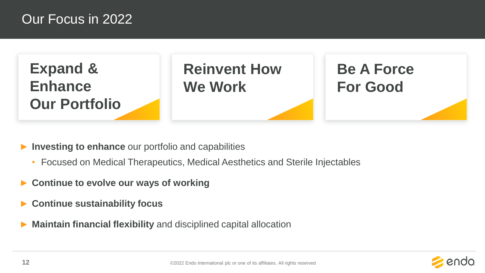### Our Focus in 2022



- ► **Investing to enhance** our portfolio and capabilities
	- Focused on Medical Therapeutics, Medical Aesthetics and Sterile Injectables
- ► **Continue to evolve our ways of working**
- ► **Continue sustainability focus**
- **Maintain financial flexibility** and disciplined capital allocation